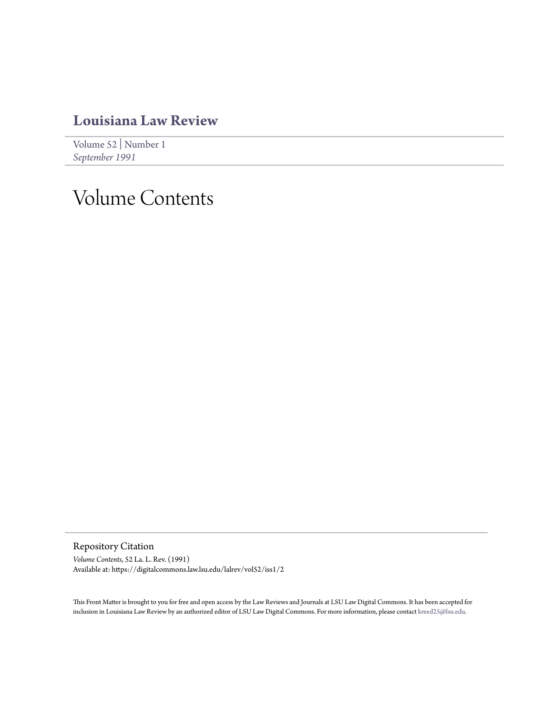### **[Louisiana Law Review](https://digitalcommons.law.lsu.edu/lalrev)**

[Volume 52](https://digitalcommons.law.lsu.edu/lalrev/vol52) | [Number 1](https://digitalcommons.law.lsu.edu/lalrev/vol52/iss1) *[September 1991](https://digitalcommons.law.lsu.edu/lalrev/vol52/iss1)*

# Volume Contents

Repository Citation

*Volume Contents*, 52 La. L. Rev. (1991) Available at: https://digitalcommons.law.lsu.edu/lalrev/vol52/iss1/2

This Front Matter is brought to you for free and open access by the Law Reviews and Journals at LSU Law Digital Commons. It has been accepted for inclusion in Louisiana Law Review by an authorized editor of LSU Law Digital Commons. For more information, please contact [kreed25@lsu.edu](mailto:kreed25@lsu.edu).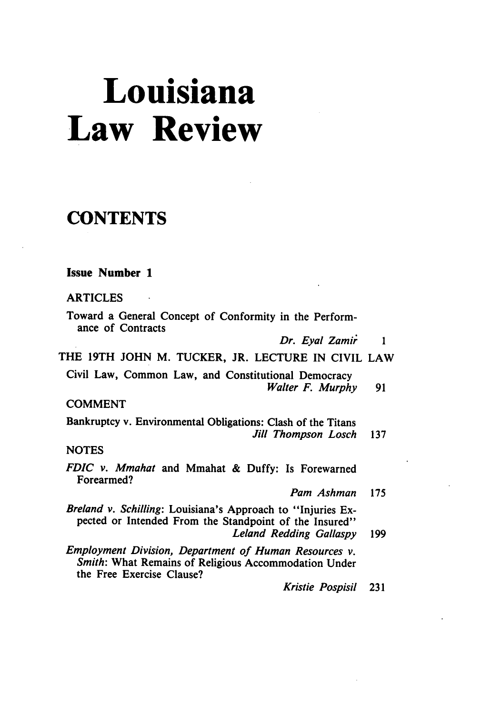# **Louisiana Law Review**

## **CONTENTS**

|  | <b>Issue Number 1</b> |  |
|--|-----------------------|--|
|--|-----------------------|--|

ARTICLES

Toward a General Concept of Conformity in the Performance of Contracts

Dr. Eyal Zamir *1*

THE 19TH JOHN M. TUCKER, JR. LECTURE IN CIVIL LAW

Civil Law, Common Law, and Constitutional Democracy *Walter F. Murphy* 91

COMMENT

Bankruptcy v. Environmental Obligations: Clash of the Titans *Jill Thompson Losch* <sup>137</sup>

**NOTES** 

- *FDIC v. Mmahat* and Mmahat & Duffy: Is Forewarned Forearmed?
	- *Pam Ashman* 175

*Breland v. Schilling:* Louisiana's Approach to "Injuries Expected or Intended From the Standpoint of the Insured" *Leland Redding Gallaspy* 199

*Employment Division, Department of Human Resources v. Smith:* What Remains of Religious Accommodation Under the Free Exercise Clause?

*Kristie Pospisil* 231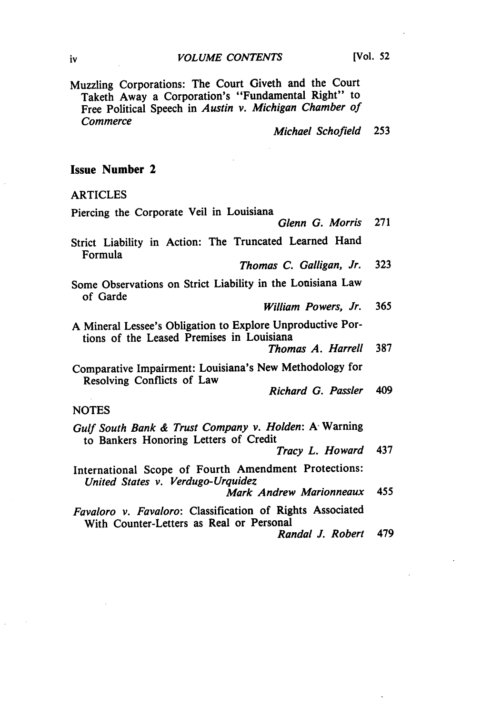Muzzling Corporations: The Court Giveth and the Court Taketh Away a Corporation's "Fundamental Right" to Free Political Speech in *Austin v. Michigan Chamber of Commerce*

*Michael Schofield* **253**

#### Issue Number 2

ARTICLES

 $\ddot{\phantom{a}}$ 

| Piercing the Corporate Veil in Louisiana                                                                |     |
|---------------------------------------------------------------------------------------------------------|-----|
| Glenn G. Morris                                                                                         | 271 |
| Strict Liability in Action: The Truncated Learned Hand<br>Formula                                       |     |
| Thomas C. Galligan, Jr.                                                                                 | 323 |
| Some Observations on Strict Liability in the Louisiana Law<br>of Garde                                  |     |
| William Powers, Jr.                                                                                     | 365 |
| A Mineral Lessee's Obligation to Explore Unproductive Por-<br>tions of the Leased Premises in Louisiana |     |
| Thomas A. Harrell                                                                                       | 387 |
| Comparative Impairment: Louisiana's New Methodology for<br>Resolving Conflicts of Law                   |     |
| Richard G. Passler                                                                                      | 409 |
| <b>NOTES</b>                                                                                            |     |
| Gulf South Bank & Trust Company v. Holden: A Warning<br>to Bankers Honoring Letters of Credit           |     |
| Tracy L. Howard                                                                                         | 437 |
| International Scope of Fourth Amendment Protections:<br>United States v. Verdugo-Urquidez               |     |
| Mark Andrew Marionneaux                                                                                 | 455 |
| Favaloro v. Favaloro: Classification of Rights Associated<br>With Counter-Letters as Real or Personal   |     |
| Randal J. Robert                                                                                        | 479 |
|                                                                                                         |     |
|                                                                                                         |     |
|                                                                                                         |     |

iv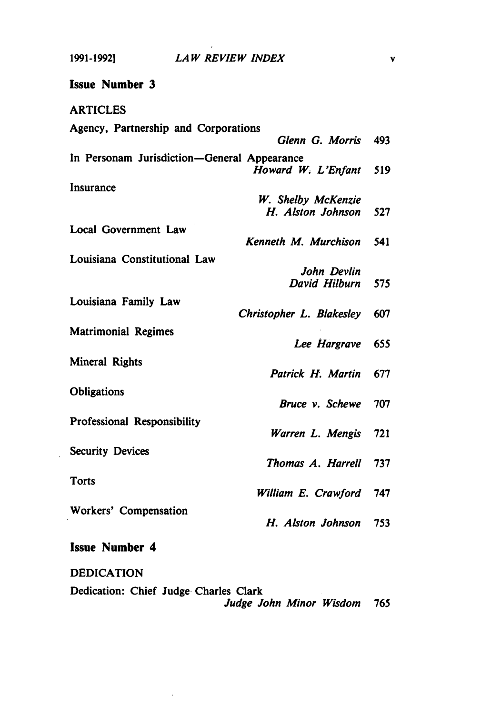$\bar{\mathcal{A}}$ 

 $\sim$   $\sim$ 

| <b>Issue Number 3</b>                                             |     |
|-------------------------------------------------------------------|-----|
| <b>ARTICLES</b>                                                   |     |
| Agency, Partnership and Corporations                              |     |
| Glenn G. Morris                                                   | 493 |
| In Personam Jurisdiction-General Appearance<br>Howard W. L'Enfant | 519 |
| Insurance                                                         |     |
| W. Shelby McKenzie                                                |     |
| H. Alston Johnson                                                 | 527 |
| Local Government Law                                              |     |
| Kenneth M. Murchison                                              | 541 |
| Louisiana Constitutional Law                                      |     |
| John Devlin                                                       |     |
| David Hilburn                                                     | 575 |
|                                                                   |     |
| Louisiana Family Law<br>Christopher L. Blakesley                  | 607 |
| <b>Matrimonial Regimes</b>                                        |     |
| Lee Hargrave                                                      | 655 |
| Mineral Rights                                                    |     |
| Patrick H. Martin                                                 | 677 |
|                                                                   |     |
| <b>Obligations</b>                                                |     |
| Bruce v. Schewe                                                   | 707 |
| Professional Responsibility                                       |     |
| Warren L. Mengis                                                  | 721 |
| <b>Security Devices</b>                                           |     |
| Thomas A. Harrell                                                 | 737 |
|                                                                   |     |
| <b>Torts</b><br>William E. Crawford                               | 747 |
|                                                                   |     |
| Workers' Compensation                                             |     |
| H. Alston Johnson                                                 | 753 |
| <b>Issue Number 4</b>                                             |     |

DEDICATION Dedication: Chief Judge. Charles Clark *Judge John Minor Wisdom 765*

 $\bar{\mathcal{L}}$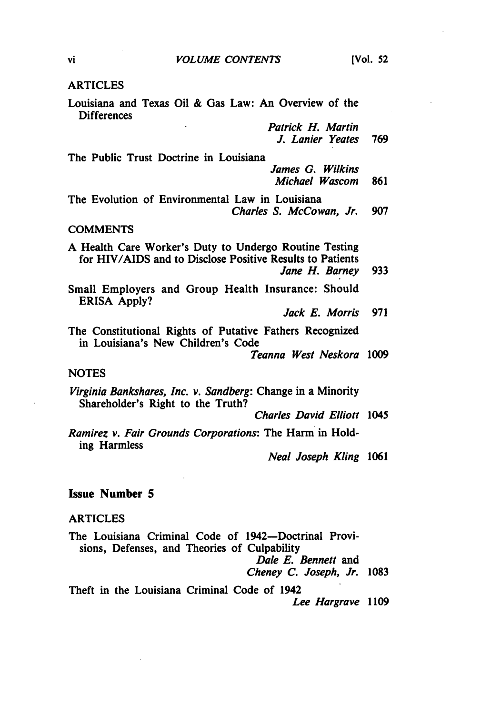#### ARTICLES

Louisiana and Texas Oil & Gas Law: An Overview of the **Differences** 

> Patrick H. Martin *J.* Lanier Yeates **769**

The Public Trust Doctrine in Louisiana

James *G.* Wilkins Michael Wascom **861**

The Evolution of Environmental Law in Louisiana Charles **S.** McCowan, Jr. **907**

#### **COMMENTS**

**A** Health Care Worker's Duty to Undergo Routine Testing for HIV/AIDS and to Disclose Positive Results to Patients

Jane H. Barney **933**

Small Employers and Group Health Insurance: Should ERISA **Apply?**

Jack **E.** Morris **971**

The Constitutional Rights of Putative Fathers Recognized in Louisiana's New Children's Code

Teanna West Neskora **1009**

#### **NOTES**

Virginia Bankshares, Inc. v. Sandberg: Change in a Minority Shareholder's Right to the Truth?

Charles David Elliott 1045

Ramirez v. Fair Grounds Corporations: The Harm in Holding Harmless

*Neal Joseph Kling* **1061**

#### Issue Number **5**

#### ARTICLES

The Louisiana Criminal Code of 1942-Doctrinal Provisions, Defenses, and Theories of Culpability Dale **E.** Bennett and Cheney **C.** Joseph, Jr. **1083**

Theft in the Louisiana Criminal Code of 1942 Lee Hargrave *1109*

vi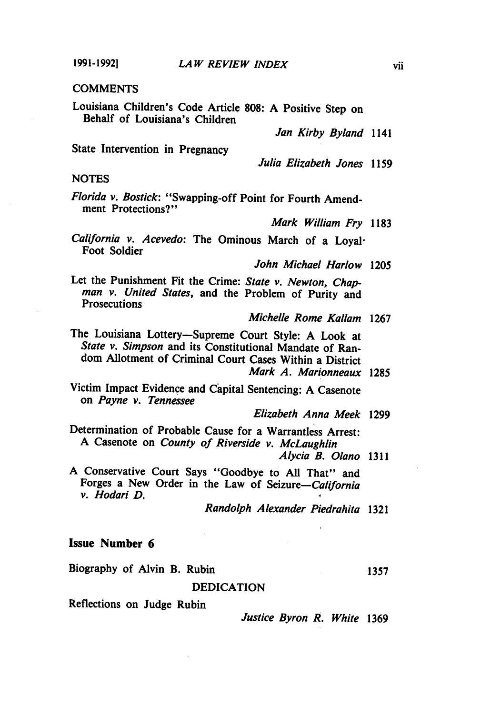**1991-1992]**

#### **COMMENTS**

Louisiana Children's Code Article **808: A** Positive Step on Behalf of Louisiana's Children

*Jan Kirby Byland* 1141

State Intervention in Pregnancy

*Julia Elizabeth Jones* **1159**

#### **NOTES**

*Florida v. Bostick:* "Swapping-off Point for Fourth Amendment Protections?"

*Mark William Fry* **1183**

*California v. Acevedo:* The Ominous March of a Loyal-Foot Soldier

*John Michael Harlow* **1205**

Let the Punishment Fit the Crime: *State v. Newton, Chapman v. United States,* and the Problem of Purity and **Prosecutions** 

*Michelle Rome Kallam* **1267**

The Louisiana Lottery-Supreme Court Style: **A** Look at *State v. Simpson* and its Constitutional Mandate of Random Allotment of Criminal Court Cases Within a District *Mark A. Marionneaux* **1285**

Victim Impact Evidence and Capital Sentencing: **A** Casenote on *Payne v. Tennessee*

*Elizabeth Anna Meek* **1299**

Determination of Probable Cause for a Warrantless Arrest: **A** Casenote on *County of Riverside v. McLaughlin*

*Alycia B. Olano* **1311**

**A** Conservative Court Says "Goodbye to **All** That" and Forges a New Order in the Law of *Seizure-California v. Hodari D.* **I**

*Randolph Alexander Piedrahita* **1321**

#### Issue Number **6**

Biography of Alvin B. Rubin **1357** 

#### **DEDICATION**

Reflections on Judge Rubin

*Justice Byron R. White* **1369**